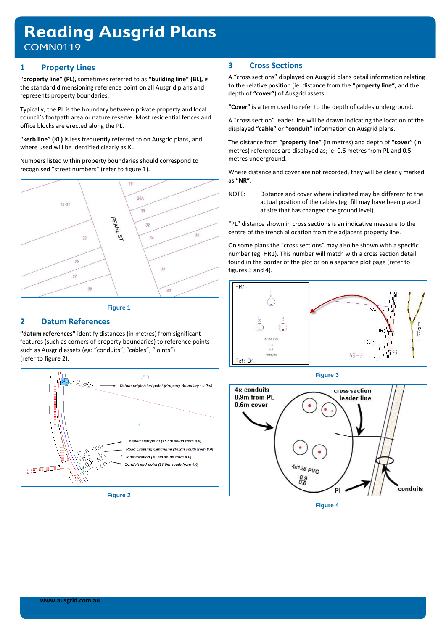# **Reading Ausgrid Plans COMN0119**

### **1 Property Lines**

**"property line" (PL),** sometimes referred to as **"building line" (BL),** is the standard dimensioning reference point on all Ausgrid plans and represents property boundaries.

Typically, the PL is the boundary between private property and local council's footpath area or nature reserve. Most residential fences and office blocks are erected along the PL.

**"kerb line" (KL)** is less frequently referred to on Ausgrid plans, and where used will be identified clearly as KL.

Numbers listed within property boundaries should correspond to recognised "street numbers" (refer to figure 1).





# **2 Datum References**

**"datum references"** identify distances (in metres) from significant features (such as corners of property boundaries) to reference points such as Ausgrid assets (eg: "conduits", "cables", "joints") (refer to figure 2).



**Figure 2**

# **3 Cross Sections**

A "cross sections" displayed on Ausgrid plans detail information relating to the relative position (ie: distance from the **"property line",** and the depth of **"cover"**) of Ausgrid assets.

**"Cover"** is a term used to refer to the depth of cables underground.

A "cross section" leader line will be drawn indicating the location of the displayed **"cable"** or **"conduit"** information on Ausgrid plans.

The distance from **"property line"** (in metres) and depth of **"cover"** (in metres) references are displayed as; ie: 0.6 metres from PL and 0.5 metres underground.

Where distance and cover are not recorded, they will be clearly marked as **"NR".**

NOTE: Distance and cover where indicated may be different to the actual position of the cables (eg: fill may have been placed at site that has changed the ground level).

"PL" distance shown in cross sections is an indicative measure to the centre of the trench allocation from the adjacent property line.

On some plans the "cross sections" may also be shown with a specific number (eg: HR1). This number will match with a cross section detail found in the border of the plot or on a separate plot page (refer to figures 3 and 4).



**Figure 3**



**Figure 4**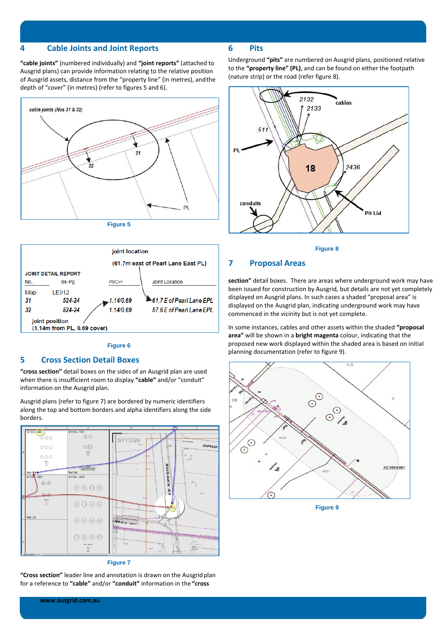#### **4 Cable Joints and Joint Reports**

**"cable joints"** (numbered individually) and **"joint reports"** (attached to Ausgrid plans) can provide information relating to the relative position of Ausgrid assets, distance from the "property line" (in metres), andthe depth of "cover" (in metres) (refer to figures 5 and 6).





#### **Figure 6**

#### **5 Cross Section Detail Boxes**

**"cross section"** detail boxes on the sides of an Ausgrid plan are used when there is insufficient room to display **"cable"** and/or "conduit" information on the Ausgrid plan.

Ausgrid plans (refer to figure 7) are bordered by numeric identifiers along the top and bottom borders and alpha identifiers along the side borders.





#### **6 Pits**

Underground **"pits"** are numbered on Ausgrid plans, positioned relative to the **"property line" (PL)**, and can be found on either the footpath (nature strip) or the road (refer figure 8).





#### **7 Proposal Areas**

**section"** detail boxes. There are areas where underground work may have been issued for construction by Ausgrid, but details are not yet completely displayed on Ausgrid plans. In such cases a shaded "proposal area" is displayed on the Ausgrid plan, indicating underground work may have commenced in the vicinity but is not yet complete.

In some instances, cables and other assets within the shaded **"proposal area"** will be shown in a **bright magenta** colour, indicating that the proposed new work displayed within the shaded area is based on initial planning documentation (refer to figure 9).



**Figure 9**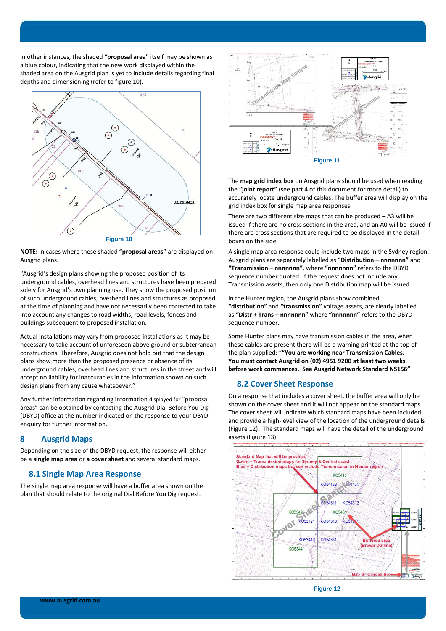In other instances, the shaded **"proposal area"** itself may be shown as a blue colour, indicating that the new work displayed within the shaded area on the Ausgrid plan is yet to include details regarding final depths and dimensioning (refer to figure 10).



**NOTE:** In cases where these shaded **"proposal areas"** are displayed on Ausgrid plans.

"Ausgrid's design plans showing the proposed position of its underground cables, overhead lines and structures have been prepared solely for Ausgrid's own planning use. They show the proposed position of such underground cables, overhead lines and structures as proposed at the time of planning and have not necessarily been corrected to take into account any changes to road widths, road levels, fences and buildings subsequent to proposed installation.

Actual installations may vary from proposed installations as it may be necessary to take account of unforeseen above ground or subterranean constructions. Therefore, Ausgrid does not hold out that the design plans show more than the proposed presence or absence of its underground cables, overhead lines and structures in the street andwill accept no liability for inaccuracies in the information shown on such design plans from any cause whatsoever."

Any further information regarding information displayed for "proposal areas" can be obtained by contacting the Ausgrid Dial Before You Dig (DBYD) office at the number indicated on the response to your DBYD enquiry for further information.

### **8 Ausgrid Maps**

Depending on the size of the DBYD request, the response will either be a **single map area** or **a cover sheet** and several standard maps.

#### **8.1 Single Map Area Response**

The single map area response will have a buffer area shown on the plan that should relate to the original Dial Before You Dig request.



The **map grid index box** on Ausgrid plans should be used when reading the **"joint report"** (see part 4 of this document for more detail) to accurately locate underground cables. The buffer area will display on the grid index box for single map area responses

There are two different size maps that can be produced – A3 will be issued if there are no cross sections in the area, and an A0 will be issued if there are cross sections that are required to be displayed in the detail boxes on the side.

A single map area response could include two maps in the Sydney region. Ausgrid plans are separately labelled as "**Distribution – nnnnnnn"** and **"Transmission – nnnnnnn"**, where **"nnnnnnn"** refers to the DBYD sequence number quoted. If the request does not include any Transmission assets, then only one Distribution map will be issued.

In the Hunter region, the Ausgrid plans show combined **"distribution"** and **"transmission"** voltage assets, are clearly labelled as **"Distr + Trans – nnnnnnn"** where **"nnnnnnn"** refers to the DBYD sequence number.

Some Hunter plans may have transmission cables in the area, when these cables are present there will be a warning printed at the top of the plan supplied: "**"You are working near Transmission Cables. You must contact Ausgrid on (02) 4951 9200 at least two weeks before work commences. See Ausgrid Network Standard NS156"**

### **8.2 Cover Sheet Response**

On a response that includes a cover sheet, the buffer area will only be shown on the cover sheet and it will not appear on the standard maps. The cover sheet will indicate which standard maps have been included and provide a high-level view of the location of the underground details (Figure 12). The standard maps will have the detail of the underground assets (Figure 13).



**Figure 12**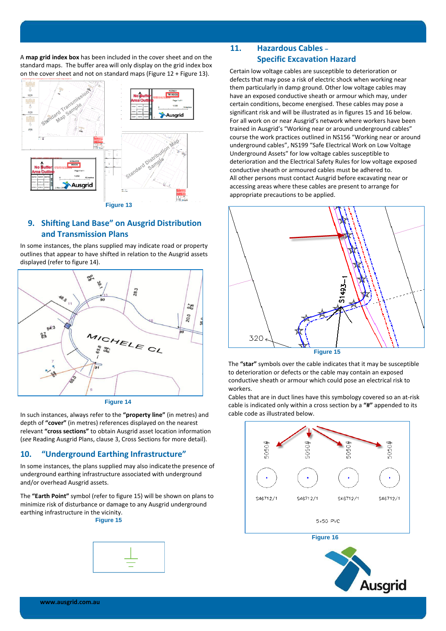A **map grid index box** has been included in the cover sheet and on the standard maps. The buffer area will only display on the grid index box on the cover sheet and not on standard maps (Figure 12 + Figure 13).



# **9. Shifting Land Base" on Ausgrid Distribution and Transmission Plans**

In some instances, the plans supplied may indicate road or property outlines that appear to have shifted in relation to the Ausgrid assets displayed (refer to figure 14).



**Figure 14**

In such instances, always refer to the **"property line"** (in metres) and depth of **"cover"** (in metres) references displayed on the nearest relevant **"cross sections"** to obtain Ausgrid asset location information (*see* Reading Ausgrid Plans, clause 3, Cross Sections for more detail).

# **10. "Underground Earthing Infrastructure"**

In some instances, the plans supplied may also indicatethe presence of underground earthing infrastructure associated with underground and/or overhead Ausgrid assets.

The **"Earth Point"** symbol (refer to figure 15) will be shown on plans to minimize risk of disturbance or damage to any Ausgrid underground earthing infrastructure in the vicinity.

# **Figure 15**



# **11. Hazardous Cables – Specific Excavation Hazard**

Certain low voltage cables are susceptible to deterioration or defects that may pose a risk of electric shock when working near them particularly in damp ground. Other low voltage cables may have an exposed conductive sheath or armour which may, under certain conditions, become energised. These cables may pose a significant risk and will be illustrated as in figures 15 and 16 below. For all work on or near Ausgrid's network where workers have been trained in Ausgrid's "Working near or around underground cables" course the work practices outlined in NS156 "Working near or around underground cables", NS199 "Safe Electrical Work on Low Voltage Underground Assets" for low voltage cables susceptible to deterioration and the Electrical Safety Rules for low voltage exposed conductive sheath or armoured cables must be adhered to. All other persons must contact Ausgrid before excavating near or accessing areas where these cables are present to arrange for appropriate precautions to be applied.



The **"star"** symbols over the cable indicates that it may be susceptible to deterioration or defects or the cable may contain an exposed conductive sheath or armour which could pose an electrical risk to workers.

Cables that are in duct lines have this symbology covered so an at-risk cable is indicated only within a cross section by a **"#"** appended to its cable code as illustrated below.



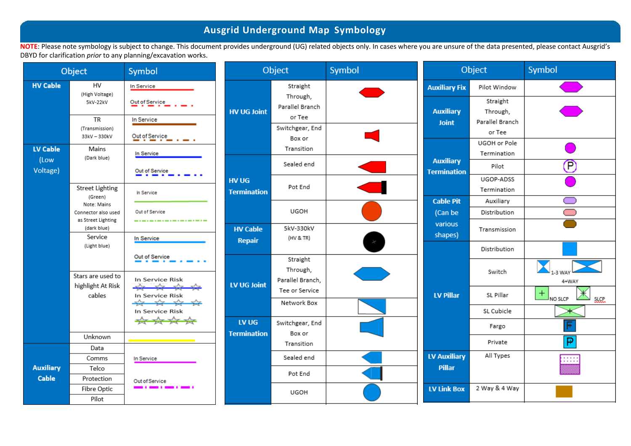# **Ausgrid Underground Map Symbology**

NOTE: Please note symbology is subject to change. This document provides underground (UG) related objects only. In cases where you are unsure of the data presented, please contact Ausgrid's DBYD for clarification *prior* to any planning/excavation works.

| Object                    |                                                          | Symbol                                  | Object                      |                                              | Symbol | Object                                 |                                       | Symbol                        |
|---------------------------|----------------------------------------------------------|-----------------------------------------|-----------------------------|----------------------------------------------|--------|----------------------------------------|---------------------------------------|-------------------------------|
| <b>HV Cable</b>           | HV<br>(High Voltage)<br>5kV-22kV                         | In Service<br>Out of Service            |                             | Straight<br>Through,                         |        | <b>Auxiliary Fix</b>                   | Pilot Window<br>Straight              |                               |
|                           | TR<br>(Transmission)                                     | In Service                              | <b>HV UG Joint</b>          | Parallel Branch<br>or Tee<br>Switchgear, End |        | <b>Auxiliary</b><br><b>Joint</b>       | Through,<br>Parallel Branch<br>or Tee |                               |
| LV Cable<br>(Low          | 33kV - 330kV<br>Mains<br>(Dark blue)                     | Out of Service<br>In Service            |                             | Box or<br>Transition                         |        |                                        | UGOH or Pole<br>Termination           |                               |
| Voltage)                  |                                                          | Out of Service                          |                             | Sealed end                                   |        | <b>Auxiliary</b><br><b>Termination</b> | Pilot<br>UGOP-ADSS                    | œ                             |
|                           | <b>Street Lighting</b><br>(Green)                        | In Service                              | HV UG<br><b>Termination</b> | Pot End                                      |        | <b>Cable Pit</b>                       | Termination                           |                               |
|                           | Note: Mains<br>Connector also used<br>as Street Lighting | Out of Service<br>--------------------- |                             | UGOH                                         |        | (Can be                                | Auxiliary<br>Distribution             | $\Box$                        |
|                           | (dark blue)<br>Service                                   | In Service                              | <b>HV Cable</b><br>Repair   | 5kV-330kV<br>(HV & TR)                       |        | various<br>shapes)                     | Transmission                          |                               |
|                           | (Light blue)                                             | Out of Service                          |                             | Straight                                     |        |                                        | Distribution                          |                               |
|                           | Stars are used to<br>highlight At Risk                   | In Service Risk<br>$-\frac{1}{2}$       | LV UG Joint                 | Through,<br>Parallel Branch,                 |        |                                        | Switch                                | 4+WAY                         |
|                           | cables                                                   | In Service Risk<br>$\frac{1}{2}$        |                             | Tee or Service<br>Network Box                |        | <b>LV Pillar</b>                       | SL Pillar                             | $+$<br>NO SLCP<br><b>SLCP</b> |
|                           |                                                          | In Service Risk<br>****                 |                             |                                              |        |                                        | SL Cubicle                            |                               |
|                           |                                                          |                                         | LV UG<br><b>Termination</b> | Switchgear, End<br>Box or                    |        |                                        | Fargo                                 | F                             |
|                           | Unknown<br>Data                                          |                                         |                             | Transition                                   |        |                                        | Private                               | P                             |
|                           | Comms                                                    | In Service                              |                             | Sealed end                                   |        | <b>LV Auxiliary</b>                    | All Types                             | <br>.                         |
| <b>Auxiliary</b><br>Cable | Telco<br>Protection                                      |                                         |                             | Pot End                                      |        | <b>Pillar</b>                          |                                       |                               |
|                           | Fibre Optic<br>Pilot                                     | Out of Service<br>--                    |                             | UGOH                                         |        | <b>LV Link Box</b>                     | 2 Way & 4 Way                         |                               |